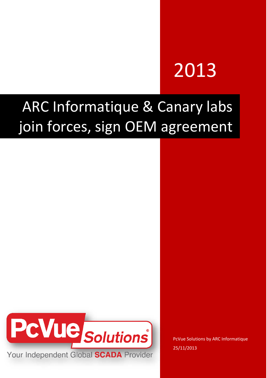# 2013

## ARC Informatique & Canary labs join forces, sign OEM agreement



PcVue Solutions by ARC Informatique 25/11/2013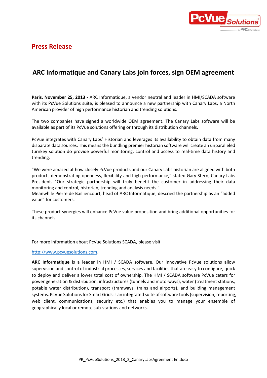

#### **Press Release**

### **ARC Informatique and Canary Labs join forces, sign OEM agreement**

**Paris, November 25, 2013 -** ARC Informatique, a vendor neutral and leader in HMI/SCADA software with its PcVue Solutions suite, is pleased to announce a new partnership with Canary Labs, a North American provider of high performance historian and trending solutions.

The two companies have signed a worldwide OEM agreement. The Canary Labs software will be available as part of its PcVue solutions offering or through its distribution channels.

PcVue integrates with Canary Labs' Historian and leverages its availability to obtain data from many disparate data sources. This means the bundling premier historian software will create an unparalleled turnkey solution do provide powerful monitoring, control and access to real-time data history and trending.

"We were amazed at how closely PcVue products and our Canary Labs historian are aligned with both products demonstrating openness, flexibility and high performance," stated Gary Stern, Canary Labs President. "Our strategic partnership will truly benefit the customer in addressing their data monitoring and control, historian, trending and analysis needs."

Meanwhile Pierre de Bailliencourt, head of ARC Informatique, descried the partnership as an "added value" for customers.

These product synergies will enhance PcVue value proposition and bring additional opportunities for its channels.

For more information about PcVue Solutions SCADA, please visit

#### [http://www.pcvuesolutions.com.](http://www.pcvuesolutions.com/)

**ARC Informatique** is a leader in HMI / SCADA software. Our innovative PcVue solutions allow supervision and control of industrial processes, services and facilities that are easy to configure, quick to deploy and deliver a lower total cost of ownership. The HMI / SCADA software PcVue caters for power generation & distribution, infrastructures (tunnels and motorways), water (treatment stations, potable water distribution), transport (tramways, trains and airports), and building management systems. PcVue Solutions for Smart Grids is an integrated suite of software tools (supervision, reporting, web client, communications, security etc.) that enables you to manage your ensemble of geographically local or remote sub-stations and networks.